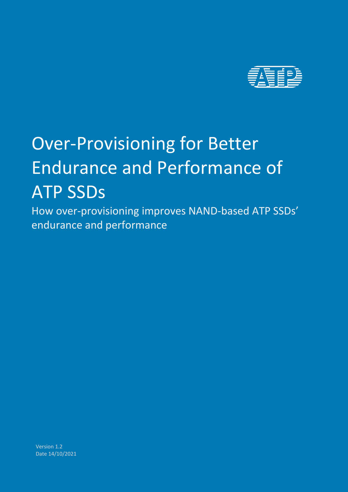

# Over-Provisioning for Better Endurance and Performance of ATP SSDs

How over-provisioning improves NAND-based ATP SSDs' endurance and performance

Version 1.2 Date 14/10/2021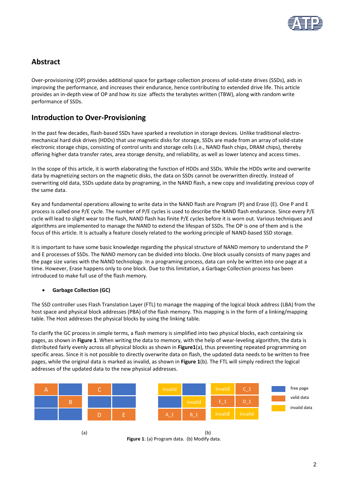

# **Abstract**

Over-provisioning (OP) provides additional space for garbage collection process of solid-state drives (SSDs), aids in improving the performance, and increases their endurance, hence contributing to extended drive life. This article provides an in-depth view of OP and how its size affects the terabytes written (TBW), along with random write performance of SSDs.

## **Introduction to Over-Provisioning**

In the past few decades, flash-based SSDs have sparked a revolution in storage devices. Unlike traditional electromechanical hard disk drives (HDDs) that use magnetic disks for storage, SSDs are made from an array of solid-state electronic storage chips, consisting of control units and storage cells (i.e., NAND flash chips, DRAM chips), thereby offering higher data transfer rates, area storage density, and reliability, as well as lower latency and access times.

In the scope of this article, it is worth elaborating the function of HDDs and SSDs. While the HDDs write and overwrite data by magnetizing sectors on the magnetic disks, the data on SSDs cannot be overwritten directly. Instead of overwriting old data, SSDs update data by programing, in the NAND flash, a new copy and invalidating previous copy of the same data.

Key and fundamental operations allowing to write data in the NAND flash are Program (P) and Erase (E). One P and E process is called one P/E cycle. The number of P/E cycles is used to describe the NAND flash endurance. Since every P/E cycle will lead to slight wear to the flash, NAND flash has finite P/E cycles before it is worn out. Various techniques and algorithms are implemented to manage the NAND to extend the lifespan of SSDs. The OP is one of them and is the focus of this article. It is actually a feature closely related to the working principle of NAND-based SSD storage.

It is important to have some basic knowledge regarding the physical structure of NAND memory to understand the P and E processes of SSDs. The NAND memory can be divided into blocks. One block usually consists of many pages and the page size varies with the NAND technology. In a programing process, data can only be written into one page at a time. However, Erase happens only to one block. Due to this limitation, a Garbage Collection process has been introduced to make full use of the flash memory.

#### • **Garbage Collection (GC)**

The SSD controller uses Flash Translation Layer (FTL) to manage the mapping of the logical block address (LBA) from the host space and physical block addresses (PBA) of the flash memory. This mapping is in the form of a linking/mapping table. The Host addresses the physical blocks by using the linking table.

To clarify the GC process in simple terms, a flash memory is simplified into two physical blocks, each containing six pages, as shown in **Figure 1**. When writing the data to memory, with the help of wear-leveling algorithm, the data is distributed fairly evenly across all physical blocks as shown in **Figure1**(a), thus preventing repeated programming on specific areas. Since it is not possible to directly overwrite data on flash, the updated data needs to be written to free pages, while the original data is marked as invalid, as shown in **Figure 1**(b). The FTL will simply redirect the logical addresses of the updated data to the new physical addresses.





 $(a)$  (b) **Figure 1**: (a) Program data. (b) Modify data.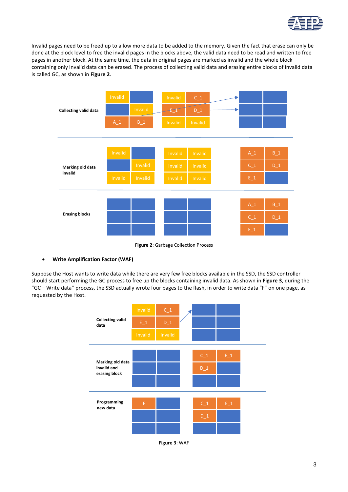

Invalid pages need to be freed up to allow more data to be added to the memory. Given the fact that erase can only be done at the block level to free the invalid pages in the blocks above, the valid data need to be read and written to free pages in another block. At the same time, the data in original pages are marked as invalid and the whole block containing only invalid data can be erased. The process of collecting valid data and erasing entire blocks of invalid data is called GC, as shown in **Figure 2**.



**Figure 2**: Garbage Collection Process

#### • **Write Amplification Factor (WAF)**

Suppose the Host wants to write data while there are very few free blocks available in the SSD, the SSD controller should start performing the GC process to free up the blocks containing invalid data. As shown in **Figure 3**, during the "GC – Write data" process, the SSD actually wrote four pages to the flash, in order to write data "F" on one page, as requested by the Host.



**Figure 3**: WAF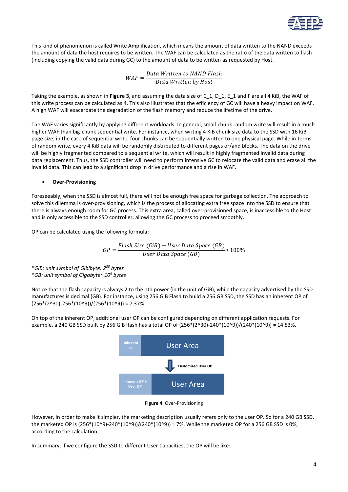

This kind of phenomenon is called Write Amplification, which means the amount of data written to the NAND exceeds the amount of data the host requires to be written. The WAF can be calculated as the ratio of the data written to flash (including copying the valid data during GC) to the amount of data to be written as requested by Host.

> $WAF = \frac{Data\;Written\;to\;NAND\;Flash}{Data\;Weritten\;bu\;Uost}$ Data Written by Host

Taking the example, as shown in **Figure 3,** and assuming the data size of C\_1, D\_1, E\_1 and F are all 4 KiB, the WAF of this write process can be calculated as 4. This also illustrates that the efficiency of GC will have a heavy impact on WAF. A high WAF will exacerbate the degradation of the flash memory and reduce the lifetime of the drive.

The WAF varies significantly by applying different workloads. In general, small-chunk random write will result in a much higher WAF than big-chunk sequential write. For instance, when writing 4 KiB chunk size data to the SSD with 16 KiB page size, in the case of sequential write, four chunks can be sequentially written to one physical page. While in terms of random write, every 4 KiB data will be randomly distributed to different pages or/and blocks. The data on the drive will be highly fragmented compared to a sequential write, which will result in highly fragmented invalid data during data replacement. Thus, the SSD controller will need to perform intensive GC to relocate the valid data and erase all the invalid data. This can lead to a significant drop in drive performance and a rise in WAF.

#### • **Over-Provisioning**

Foreseeably, when the SSD is almost full, there will not be enough free space for garbage collection. The approach to solve this dilemma is over-provisioning, which is the process of allocating extra free space into the SSD to ensure that there is always enough room for GC process. This extra area, called over-provisioned space, is inaccessible to the Host and is only accessible to the SSD controller, allowing the GC process to proceed smoothly.

OP can be calculated using the following formula:

$$
OP = \frac{Flash Size(GiB) - User Data Space(GB)}{User Data Space(GB)} * 100\%
$$

*\*GiB: unit symbol of Gibibyte: 2 <sup>30</sup> bytes \*GB: unit symbol of Gigabyte: 10<sup>9</sup> bytes*

Notice that the flash capacity is always 2 to the nth power (in the unit of GiB), while the capacity advertised by the SSD manufactures is decimal (GB). For instance, using 256 GiB Flash to build a 256 GB SSD, the SSD has an inherent OP of  $(256*(2^30)-256*(10^9))/(256*(10^9)) = 7.37%$ .

On top of the inherent OP, additional user OP can be configured depending on different application requests. For example, a 240 GB SSD built by 256 GiB flash has a total OP of (256\*(2^30)-240\*(10^9))/(240\*(10^9)) = 14.53%.



**Figure 4**: Over-Provisioning

However, in order to make it simpler, the marketing description usually refers only to the user OP. So for a 240 GB SSD, the marketed OP is (256\*(10^9)-240\*(10^9))/(240\*(10^9))  $\approx$  7%. While the marketed OP for a 256 GB SSD is 0%, according to the calculation.

In summary, if we configure the SSD to different User Capacities, the OP will be like: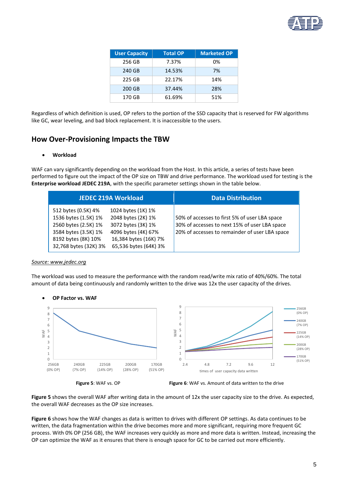

| <b>User Capacity</b> | <b>Total OP</b> | <b>Marketed OP</b> |
|----------------------|-----------------|--------------------|
| 256 GB               | 7.37%           | 0%                 |
| 240 GB               | 14.53%          | 7%                 |
| 225 GB               | 22.17%          | 14%                |
| 200 GB               | 37.44%          | 28%                |
| 170 GB               | 61.69%          | 51%                |

Regardless of which definition is used, OP refers to the portion of the SSD capacity that is reserved for FW algorithms like GC, wear leveling, and bad block replacement. It is inaccessible to the users.

## **How Over-Provisioning Impacts the TBW**

#### • **Workload**

WAF can vary significantly depending on the workload from the Host. In this article, a series of tests have been performed to figure out the impact of the OP size on TBW and drive performance. The workload used for testing is the **Enterprise workload JEDEC 219A**, with the specific parameter settings shown in the table below.

| <b>JEDEC 219A Workload</b>                                                                                                                                                                                                                                    |                       | <b>Data Distribution</b>                                                                                                                         |  |  |
|---------------------------------------------------------------------------------------------------------------------------------------------------------------------------------------------------------------------------------------------------------------|-----------------------|--------------------------------------------------------------------------------------------------------------------------------------------------|--|--|
| 512 bytes (0.5K) 4%<br>1024 bytes (1K) 1%<br>1536 bytes (1.5K) 1%<br>2048 bytes (2K) 1%<br>3072 bytes (3K) 1%<br>2560 bytes (2.5K) 1%<br>4096 bytes (4K) 67%<br>3584 bytes (3.5K) 1%<br>16,384 bytes (16K) 7%<br>8192 bytes (8K) 10%<br>32,768 bytes (32K) 3% | 65,536 bytes (64K) 3% | 50% of accesses to first 5% of user LBA space<br>30% of accesses to next 15% of user LBA space<br>20% of accesses to remainder of user LBA space |  |  |

#### *Source: www.jedec.org*

The workload was used to measure the performance with the random read/write mix ratio of 40%/60%. The total amount of data being continuously and randomly written to the drive was 12x the user capacity of the drives.









**Figure 5** shows the overall WAF after writing data in the amount of 12x the user capacity size to the drive. As expected, the overall WAF decreases as the OP size increases.

**Figure 6** shows how the WAF changes as data is written to drives with different OP settings. As data continues to be written, the data fragmentation within the drive becomes more and more significant, requiring more frequent GC process. With 0% OP (256 GB), the WAF increases very quickly as more and more data is written. Instead, increasing the OP can optimize the WAF as it ensures that there is enough space for GC to be carried out more efficiently.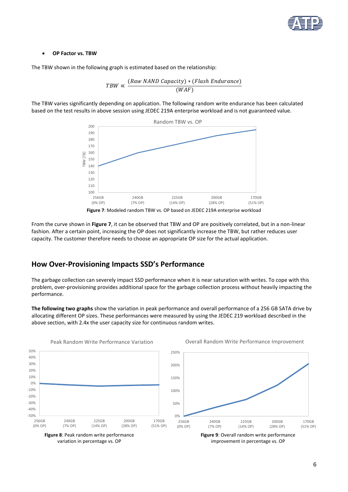

#### • **OP Factor vs. TBW**

The TBW shown in the following graph is estimated based on the relationship:



The TBW varies significantly depending on application. The following random write endurance has been calculated based on the test results in above session using JEDEC 219A enterprise workload and is not guaranteed value.





From the curve shown in **Figure 7**, it can be observed that TBW and OP are positively correlated, but in a non-linear fashion. After a certain point, increasing the OP does not significantly increase the TBW, but rather reduces user capacity. The customer therefore needs to choose an appropriate OP size for the actual application.

### **How Over-Provisioning Impacts SSD's Performance**

Peak Random Write Performance Variation

The garbage collection can severely impact SSD performance when it is near saturation with writes. To cope with this problem, over-provisioning provides additional space for the garbage collection process without heavily impacting the performance.

**The following two graphs** show the variation in peak performance and overall performance of a 256 GB SATA drive by allocating different OP sizes. These performances were measured by using the JEDEC 219 workload described in the above section, with 2.4x the user capacity size for continuous random writes.



variation in percentage vs. OP

Overall Random Write Performance Improvement

improvement in percentage vs. OP